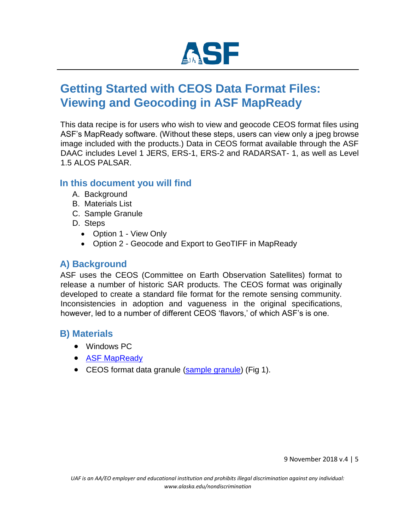

# **Getting Started with CEOS Data Format Files: Viewing and Geocoding in ASF MapReady**

This data recipe is for users who wish to view and geocode CEOS format files using ASF's MapReady software. (Without these steps, users can view only a jpeg browse image included with the products.) Data in CEOS format available through the ASF DAAC includes Level 1 JERS, ERS-1, ERS-2 and RADARSAT- 1, as well as Level 1.5 ALOS PALSAR.

#### **In this document you will find**

- A. Background
- B. Materials List
- C. Sample Granule
- D. Steps
	- Option 1 View Only
	- Option 2 Geocode and Export to GeoTIFF in MapReady

### **A) Background**

ASF uses the CEOS (Committee on Earth Observation Satellites) format to release a number of historic SAR products. The CEOS format was originally developed to create a standard file format for the remote sensing community. Inconsistencies in adoption and vagueness in the original specifications, however, led to a number of different CEOS 'flavors,' of which ASF's is one.

### **B) Materials**

- Windows PC
- [ASF](https://www.asf.alaska.edu/data-tools/mapready/) [MapReady](https://www.asf.alaska.edu/data-tools/mapready/)
- CEOS format data granule [\(sample](https://datapool.asf.alaska.edu/L1.5/A3/ALPSRP121230740-L1.5.zip) [granule\) \(](https://datapool.asf.alaska.edu/L1.5/A3/ALPSRP121230740-L1.5.zip)Fig 1).

9 November 2018 v.4 | 5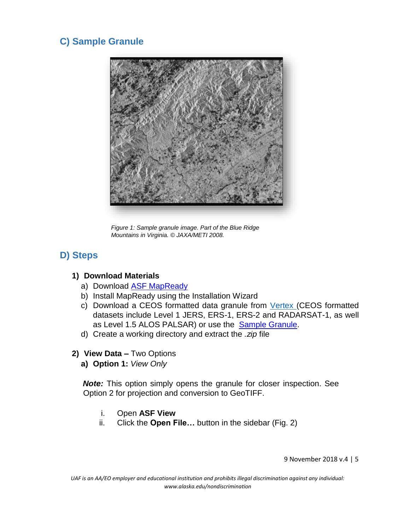## **C) Sample Granule**



*Figure 1: Sample granule image. Part of the Blue Ridge Mountains in Virginia. © JAXA/METI 2008.*

### **D) Steps**

#### **1) Download Materials**

- a) Downloa[d](https://www.asf.alaska.edu/data-tools/mapready/) [ASF](https://www.asf.alaska.edu/data-tools/mapready/) [MapReady](https://www.asf.alaska.edu/data-tools/mapready/)
- b) Install MapReady using the Installation Wizard
- c) Download a CEOS formatted data granule from [Vertex](https://vertex.daac.asf.alaska.edu/) [\(C](https://vertex.daac.asf.alaska.edu/)EOS formatted datasets include Level 1 JERS, ERS-1, ERS-2 and RADARSAT-1, as well as L[e](https://datapool.asf.alaska.edu/L1.5/A3/ALPSRP121230740-L1.5.zip)vel 1.5 ALOS PALSAR) or use the [Sample](https://datapool.asf.alaska.edu/L1.5/A3/ALPSRP121230740-L1.5.zip) [Granule.](https://datapool.asf.alaska.edu/L1.5/A3/ALPSRP121230740-L1.5.zip)
- d) Create a working directory and extract the *.zip* file
- **2) View Data –** Two Options
	- **a) Option 1:** *View Only*

**Note:** This option simply opens the granule for closer inspection. See Option 2 for projection and conversion to GeoTIFF.

- i. Open **ASF View**
- ii. Click the **Open File…** button in the sidebar (Fig. 2)

9 November 2018 v.4 | 5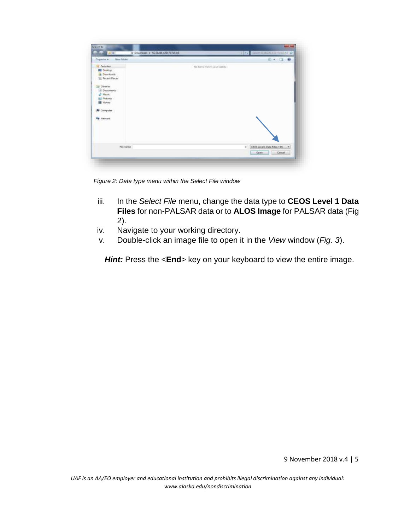

*Figure 2: Data type menu within the Select File window*

- iii. In the *Select File* menu, change the data type to **CEOS Level 1 Data Files** for non-PALSAR data or to **ALOS Image** for PALSAR data (Fig 2).
- iv. Navigate to your working directory.
- v. Double-click an image file to open it in the *View* window (*Fig. 3*).

**Hint:** Press the <**End**> key on your keyboard to view the entire image.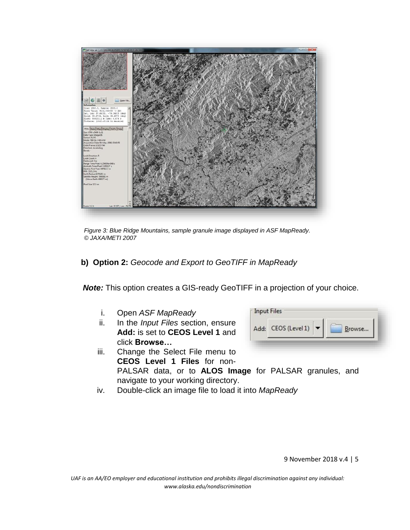

*Figure 3: Blue Ridge Mountains, sample granule image displayed in ASF MapReady. © JAXA/METI 2007*

**b) Option 2:** *Geocode and Export to GeoTIFF in MapReady*

*Note:* This option creates a GIS-ready GeoTIFF in a projection of your choice.

- i. Open *ASF MapReady*
- ii. In the *Input Files* section, ensure **Add:** is set to **CEOS Level 1** and click **Browse…**

| Add: CEOS (Level 1) | Browse |
|---------------------|--------|
|                     |        |

- iii. Change the Select File menu to **CEOS Level 1 Files** for non-PALSAR data, or to **ALOS Image** for PALSAR granules, and navigate to your working directory.
- iv. Double-click an image file to load it into *MapReady*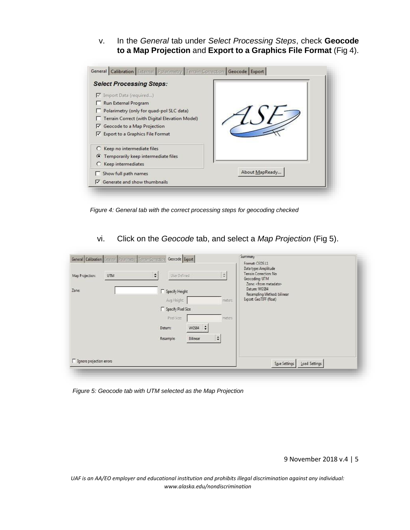v. In the *General* tab under *Select Processing Steps*, check **Geocode to a Map Projection** and **Export to a Graphics File Format** (Fig 4).



*Figure 4: General tab with the correct processing steps for geocoding checked*

vi. Click on the *Geocode* tab, and select a *Map Projection* (Fig 5).

| <b>UTM</b><br>Map Projection: | ÷<br>User Defined                            | Data type: Amplitude<br>Terrain Correction: No<br>÷<br>Geocoding: UTM<br>Zone: <from metadata=""></from> |  |
|-------------------------------|----------------------------------------------|----------------------------------------------------------------------------------------------------------|--|
| Zone:                         | Specify Height<br>Avg Height                 | Datum: WGS84<br>Resampling Method: bilinear<br>Export: GeoTIFF (filoat)<br>meters.                       |  |
|                               | Specify Pixel Size                           |                                                                                                          |  |
|                               | Poel Size<br>$WGS84$ $\Rightarrow$<br>Datum: | meters                                                                                                   |  |
|                               | Bilinear<br><b>Resample:</b>                 | ÷                                                                                                        |  |
| Ignore projection errors      |                                              |                                                                                                          |  |

*Figure 5: Geocode tab with UTM selected as the Map Projection*

9 November 2018 v.4 | 5

*UAF is an AA/EO employer and educational institution and prohibits illegal discrimination against any individual: www.alaska.edu/nondiscrimination*